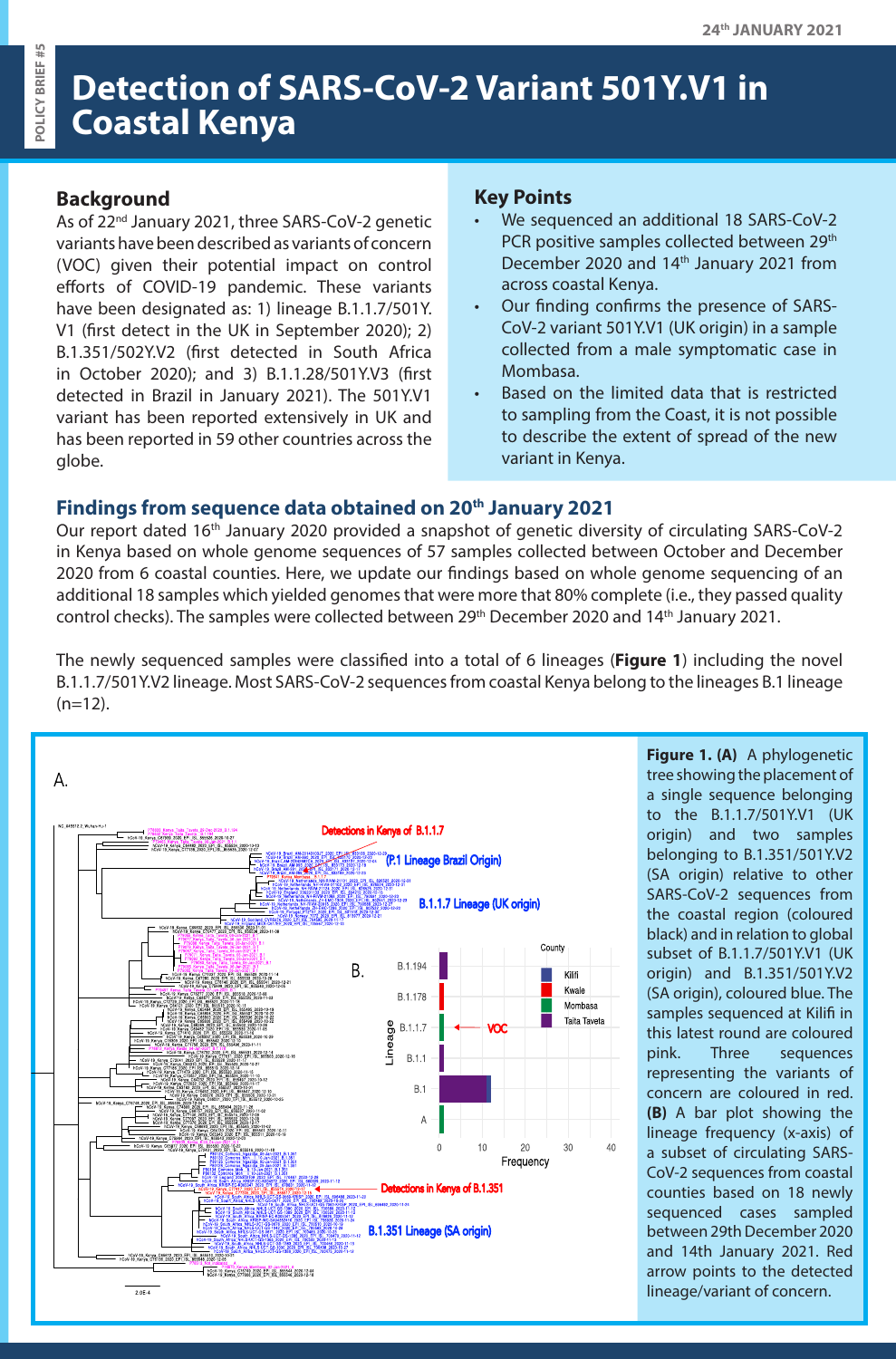# **Detection of SARS-CoV-2 Variant 501Y.V1 in Coastal Kenya**

### **Background**

As of 22nd January 2021, three SARS-CoV-2 genetic variants have been described as variants of concern (VOC) given their potential impact on control efforts of COVID-19 pandemic. These variants have been designated as: 1) lineage B.1.1.7/501Y. V1 (first detect in the UK in September 2020); 2) B.1.351/502Y.V2 (first detected in South Africa in October 2020); and 3) B.1.1.28/501Y.V3 (first detected in Brazil in January 2021). The 501Y.V1 variant has been reported extensively in UK and has been reported in 59 other countries across the globe.

#### **Key Points**

- We sequenced an additional 18 SARS-CoV-2 PCR positive samples collected between 29<sup>th</sup> December 2020 and 14<sup>th</sup> January 2021 from across coastal Kenya.
- Our finding confirms the presence of SARS-CoV-2 variant 501Y.V1 (UK origin) in a sample collected from a male symptomatic case in Mombasa.
- Based on the limited data that is restricted to sampling from the Coast, it is not possible to describe the extent of spread of the new variant in Kenya.

## **Findings from sequence data obtained on 20th January 2021**

Our report dated 16<sup>th</sup> January 2020 provided a snapshot of genetic diversity of circulating SARS-CoV-2 in Kenya based on whole genome sequences of 57 samples collected between October and December 2020 from 6 coastal counties. Here, we update our findings based on whole genome sequencing of an additional 18 samples which yielded genomes that were more that 80% complete (i.e., they passed quality control checks). The samples were collected between 29<sup>th</sup> December 2020 and 14<sup>th</sup> January 2021.

The newly sequenced samples were classified into a total of 6 lineages (**Figure 1**) including the novel B.1.1.7/501Y.V2 lineage. Most SARS-CoV-2 sequences from coastal Kenya belong to the lineages B.1 lineage  $(n=12)$ .



**Figure 1. (A)** A phylogenetic tree showing the placement of a single sequence belonging to the B.1.1.7/501Y.V1 (UK origin) and two samples belonging to B.1.351/501Y.V2 (SA origin) relative to other SARS-CoV-2 sequences from the coastal region (coloured black) and in relation to global subset of B.1.1.7/501Y.V1 (UK origin) and B.1.351/501Y.V2 (SA origin), coloured blue. The samples sequenced at Kilifi in this latest round are coloured pink. Three sequences representing the variants of concern are coloured in red. **(B)** A bar plot showing the lineage frequency (x-axis) of a subset of circulating SARS-CoV-2 sequences from coastal counties based on 18 newly sequenced cases sampled between 29th December 2020 and 14th January 2021. Red arrow points to the detected lineage/variant of concern.